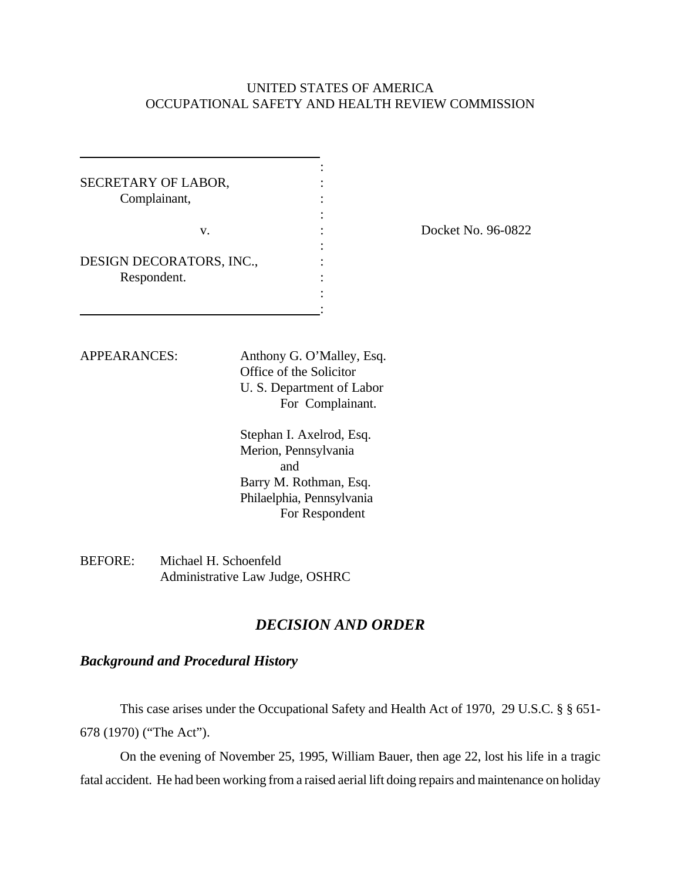## UNITED STATES OF AMERICA OCCUPATIONAL SAFETY AND HEALTH REVIEW COMMISSION

| SECRETARY OF LABOR,      |  |
|--------------------------|--|
| Complainant,             |  |
|                          |  |
| v.                       |  |
|                          |  |
| DESIGN DECORATORS, INC., |  |
| Respondent.              |  |
|                          |  |
|                          |  |

Docket No. 96-0822

APPEARANCES: Anthony G. O'Malley, Esq. Office of the Solicitor U. S. Department of Labor For Complainant.

> Stephan I. Axelrod, Esq. Merion, Pennsylvania and Barry M. Rothman, Esq. Philaelphia, Pennsylvania For Respondent

BEFORE: Michael H. Schoenfeld Administrative Law Judge, OSHRC

# *DECISION AND ORDER*

## *Background and Procedural History*

This case arises under the Occupational Safety and Health Act of 1970, 29 U.S.C. § § 651- 678 (1970) ("The Act").

On the evening of November 25, 1995, William Bauer, then age 22, lost his life in a tragic fatal accident. He had been working from a raised aerial lift doing repairs and maintenance on holiday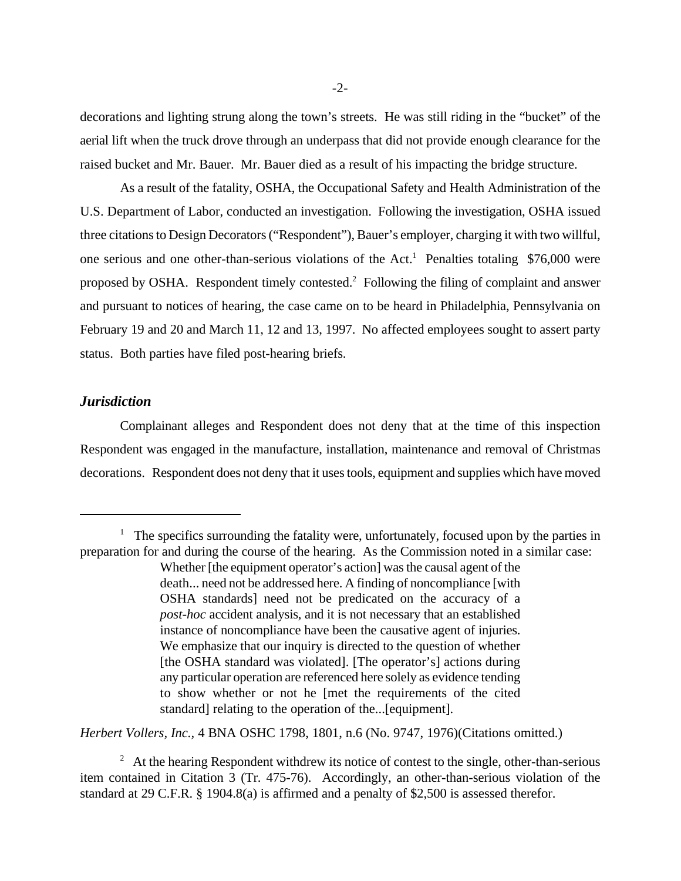decorations and lighting strung along the town's streets. He was still riding in the "bucket" of the aerial lift when the truck drove through an underpass that did not provide enough clearance for the raised bucket and Mr. Bauer. Mr. Bauer died as a result of his impacting the bridge structure.

As a result of the fatality, OSHA, the Occupational Safety and Health Administration of the U.S. Department of Labor, conducted an investigation. Following the investigation, OSHA issued three citations to Design Decorators ("Respondent"), Bauer's employer, charging it with two willful, one serious and one other-than-serious violations of the Act.<sup>1</sup> Penalties totaling \$76,000 were proposed by OSHA. Respondent timely contested.<sup>2</sup> Following the filing of complaint and answer and pursuant to notices of hearing, the case came on to be heard in Philadelphia, Pennsylvania on February 19 and 20 and March 11, 12 and 13, 1997. No affected employees sought to assert party status. Both parties have filed post-hearing briefs.

### *Jurisdiction*

Complainant alleges and Respondent does not deny that at the time of this inspection Respondent was engaged in the manufacture, installation, maintenance and removal of Christmas decorations. Respondent does not deny that it uses tools, equipment and supplies which have moved

*Herbert Vollers, Inc.,* 4 BNA OSHC 1798, 1801, n.6 (No. 9747, 1976)(Citations omitted.)

<sup>&</sup>lt;sup>1</sup> The specifics surrounding the fatality were, unfortunately, focused upon by the parties in preparation for and during the course of the hearing. As the Commission noted in a similar case: Whether [the equipment operator's action] was the causal agent of the death... need not be addressed here. A finding of noncompliance [with OSHA standards] need not be predicated on the accuracy of a *post-hoc* accident analysis, and it is not necessary that an established instance of noncompliance have been the causative agent of injuries. We emphasize that our inquiry is directed to the question of whether [the OSHA standard was violated]. [The operator's] actions during any particular operation are referenced here solely as evidence tending to show whether or not he [met the requirements of the cited standard] relating to the operation of the...[equipment].

 $2<sup>2</sup>$  At the hearing Respondent withdrew its notice of contest to the single, other-than-serious item contained in Citation 3 (Tr. 475-76). Accordingly, an other-than-serious violation of the standard at 29 C.F.R. § 1904.8(a) is affirmed and a penalty of \$2,500 is assessed therefor.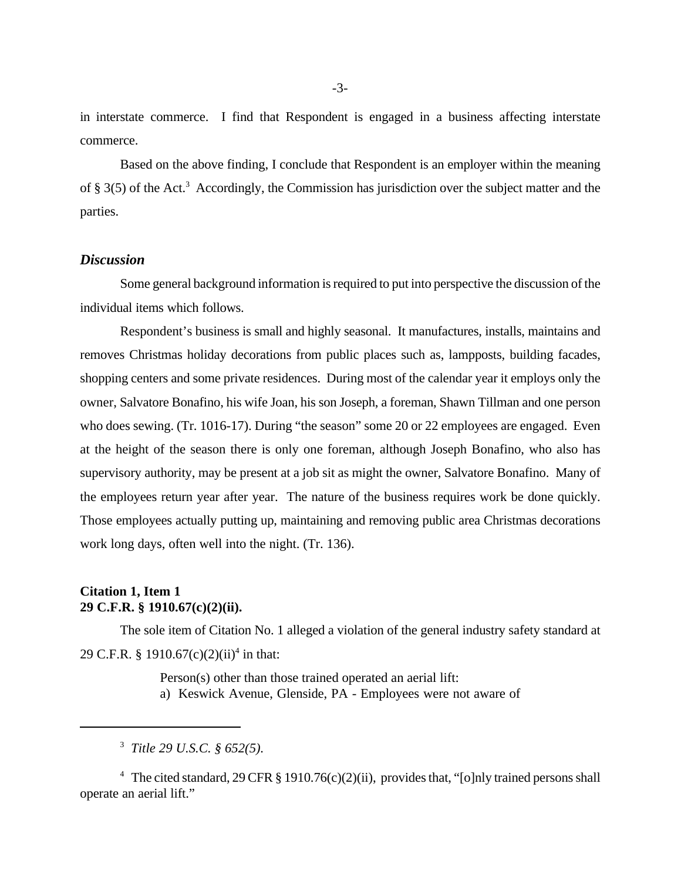in interstate commerce. I find that Respondent is engaged in a business affecting interstate commerce.

Based on the above finding, I conclude that Respondent is an employer within the meaning of § 3(5) of the Act.<sup>3</sup> Accordingly, the Commission has jurisdiction over the subject matter and the parties.

### *Discussion*

Some general background information is required to put into perspective the discussion of the individual items which follows.

Respondent's business is small and highly seasonal. It manufactures, installs, maintains and removes Christmas holiday decorations from public places such as, lampposts, building facades, shopping centers and some private residences. During most of the calendar year it employs only the owner, Salvatore Bonafino, his wife Joan, his son Joseph, a foreman, Shawn Tillman and one person who does sewing. (Tr. 1016-17). During "the season" some 20 or 22 employees are engaged. Even at the height of the season there is only one foreman, although Joseph Bonafino, who also has supervisory authority, may be present at a job sit as might the owner, Salvatore Bonafino. Many of the employees return year after year. The nature of the business requires work be done quickly. Those employees actually putting up, maintaining and removing public area Christmas decorations work long days, often well into the night. (Tr. 136).

### **Citation 1, Item 1 29 C.F.R. § 1910.67(c)(2)(ii).**

The sole item of Citation No. 1 alleged a violation of the general industry safety standard at 29 C.F.R. § 1910.67(c)(2)(ii)<sup>4</sup> in that:

> Person(s) other than those trained operated an aerial lift: a) Keswick Avenue, Glenside, PA - Employees were not aware of

<sup>4</sup> The cited standard, 29 CFR § 1910.76(c)(2)(ii), provides that, "[o]nly trained persons shall operate an aerial lift."

<sup>3</sup>  *Title 29 U.S.C. § 652(5).*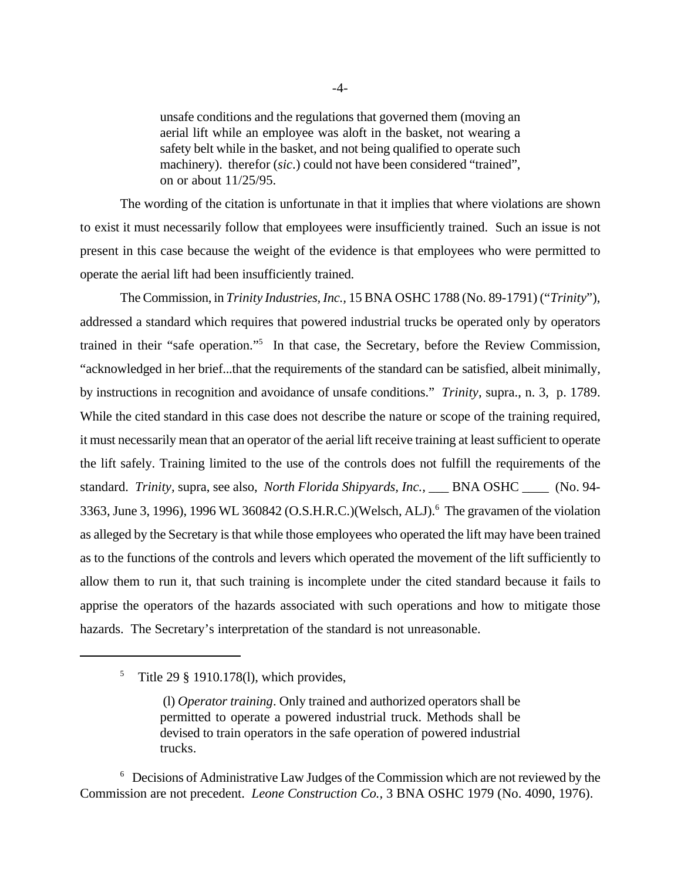unsafe conditions and the regulations that governed them (moving an aerial lift while an employee was aloft in the basket, not wearing a safety belt while in the basket, and not being qualified to operate such machinery). therefor (sic.) could not have been considered "trained", on or about 11/25/95.

The wording of the citation is unfortunate in that it implies that where violations are shown to exist it must necessarily follow that employees were insufficiently trained. Such an issue is not present in this case because the weight of the evidence is that employees who were permitted to operate the aerial lift had been insufficiently trained.

The Commission, in *Trinity Industries, Inc.,* 15 BNA OSHC 1788 (No. 89-1791) ("*Trinity*"), addressed a standard which requires that powered industrial trucks be operated only by operators trained in their "safe operation."<sup>5</sup> In that case, the Secretary, before the Review Commission, "acknowledged in her brief...that the requirements of the standard can be satisfied, albeit minimally, by instructions in recognition and avoidance of unsafe conditions." *Trinity,* supra., n. 3, p. 1789. While the cited standard in this case does not describe the nature or scope of the training required, it must necessarily mean that an operator of the aerial lift receive training at least sufficient to operate the lift safely. Training limited to the use of the controls does not fulfill the requirements of the standard. *Trinity,* supra, see also, *North Florida Shipyards, Inc.,* \_\_\_ BNA OSHC \_\_\_\_ (No. 94- 3363, June 3, 1996), 1996 WL 360842 (O.S.H.R.C.) (Welsch, ALJ).<sup>6</sup> The gravamen of the violation as alleged by the Secretary is that while those employees who operated the lift may have been trained as to the functions of the controls and levers which operated the movement of the lift sufficiently to allow them to run it, that such training is incomplete under the cited standard because it fails to apprise the operators of the hazards associated with such operations and how to mitigate those hazards. The Secretary's interpretation of the standard is not unreasonable.

<sup>6</sup> Decisions of Administrative Law Judges of the Commission which are not reviewed by the Commission are not precedent. *Leone Construction Co.,* 3 BNA OSHC 1979 (No. 4090, 1976).

<sup>&</sup>lt;sup>5</sup> Title 29 § 1910.178(1), which provides,

 <sup>(</sup>l) *Operator training*. Only trained and authorized operators shall be permitted to operate a powered industrial truck. Methods shall be devised to train operators in the safe operation of powered industrial trucks.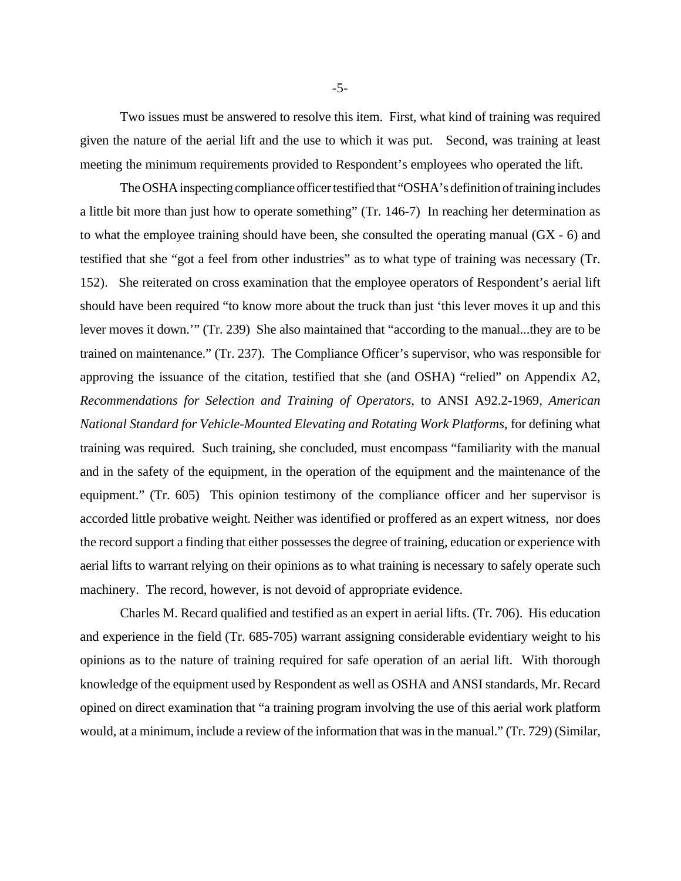Two issues must be answered to resolve this item. First, what kind of training was required given the nature of the aerial lift and the use to which it was put. Second, was training at least meeting the minimum requirements provided to Respondent's employees who operated the lift.

The OSHA inspecting compliance officer testified that "OSHA's definition of training includes a little bit more than just how to operate something" (Tr. 146-7) In reaching her determination as to what the employee training should have been, she consulted the operating manual (GX - 6) and testified that she "got a feel from other industries" as to what type of training was necessary (Tr. 152). She reiterated on cross examination that the employee operators of Respondent's aerial lift should have been required "to know more about the truck than just 'this lever moves it up and this lever moves it down.'" (Tr. 239) She also maintained that "according to the manual...they are to be trained on maintenance." (Tr. 237). The Compliance Officer's supervisor, who was responsible for approving the issuance of the citation, testified that she (and OSHA) "relied" on Appendix A2, *Recommendations for Selection and Training of Operators*, to ANSI A92.2-1969, *American National Standard for Vehicle-Mounted Elevating and Rotating Work Platforms*, for defining what training was required. Such training, she concluded, must encompass "familiarity with the manual and in the safety of the equipment, in the operation of the equipment and the maintenance of the equipment." (Tr. 605) This opinion testimony of the compliance officer and her supervisor is accorded little probative weight. Neither was identified or proffered as an expert witness, nor does the record support a finding that either possesses the degree of training, education or experience with aerial lifts to warrant relying on their opinions as to what training is necessary to safely operate such machinery. The record, however, is not devoid of appropriate evidence.

Charles M. Recard qualified and testified as an expert in aerial lifts. (Tr. 706). His education and experience in the field (Tr. 685-705) warrant assigning considerable evidentiary weight to his opinions as to the nature of training required for safe operation of an aerial lift. With thorough knowledge of the equipment used by Respondent as well as OSHA and ANSI standards, Mr. Recard opined on direct examination that "a training program involving the use of this aerial work platform would, at a minimum, include a review of the information that was in the manual." (Tr. 729) (Similar,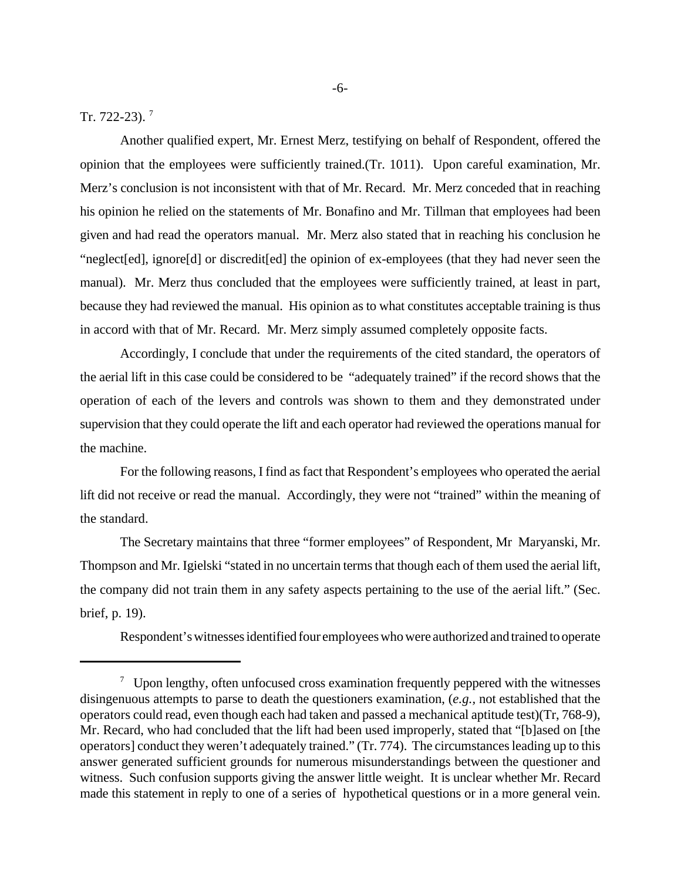Tr. 722-23).<sup>7</sup>

Another qualified expert, Mr. Ernest Merz, testifying on behalf of Respondent, offered the opinion that the employees were sufficiently trained.(Tr. 1011). Upon careful examination, Mr. Merz's conclusion is not inconsistent with that of Mr. Recard. Mr. Merz conceded that in reaching his opinion he relied on the statements of Mr. Bonafino and Mr. Tillman that employees had been given and had read the operators manual. Mr. Merz also stated that in reaching his conclusion he "neglect[ed], ignore[d] or discredit[ed] the opinion of ex-employees (that they had never seen the manual). Mr. Merz thus concluded that the employees were sufficiently trained, at least in part, because they had reviewed the manual. His opinion as to what constitutes acceptable training is thus in accord with that of Mr. Recard. Mr. Merz simply assumed completely opposite facts.

Accordingly, I conclude that under the requirements of the cited standard, the operators of the aerial lift in this case could be considered to be "adequately trained" if the record shows that the operation of each of the levers and controls was shown to them and they demonstrated under supervision that they could operate the lift and each operator had reviewed the operations manual for the machine.

For the following reasons, I find as fact that Respondent's employees who operated the aerial lift did not receive or read the manual. Accordingly, they were not "trained" within the meaning of the standard.

The Secretary maintains that three "former employees" of Respondent, Mr Maryanski, Mr. Thompson and Mr. Igielski "stated in no uncertain terms that though each of them used the aerial lift, the company did not train them in any safety aspects pertaining to the use of the aerial lift." (Sec. brief, p. 19).

Respondent's witnesses identified four employees who were authorized and trained to operate

 $\frac{7}{10}$  Upon lengthy, often unfocused cross examination frequently peppered with the witnesses disingenuous attempts to parse to death the questioners examination, (*e.g.,* not established that the operators could read, even though each had taken and passed a mechanical aptitude test)(Tr, 768-9), Mr. Recard, who had concluded that the lift had been used improperly, stated that "[b]ased on [the operators] conduct they weren't adequately trained." (Tr. 774). The circumstances leading up to this answer generated sufficient grounds for numerous misunderstandings between the questioner and witness. Such confusion supports giving the answer little weight. It is unclear whether Mr. Recard made this statement in reply to one of a series of hypothetical questions or in a more general vein.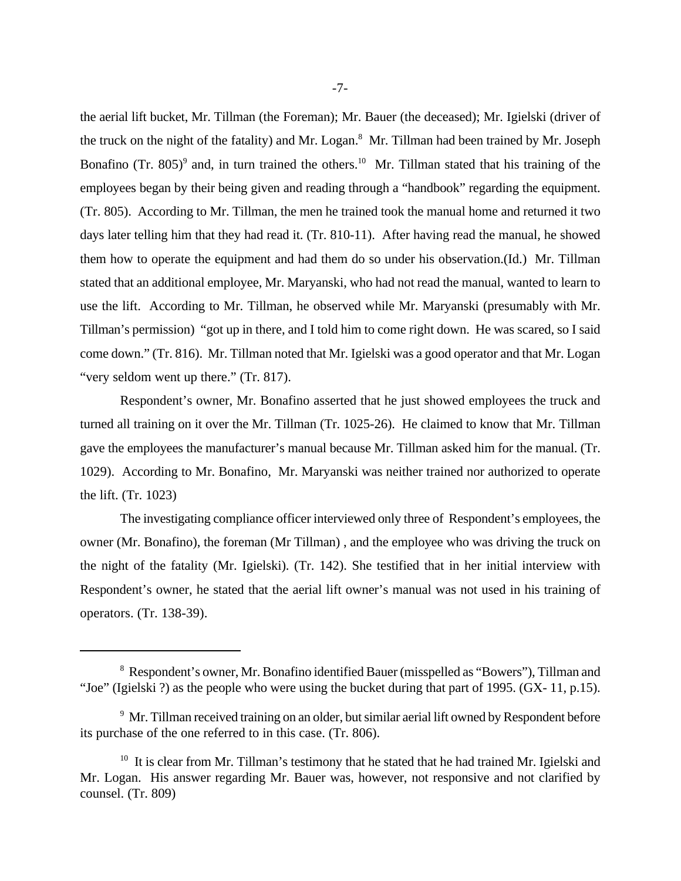the aerial lift bucket, Mr. Tillman (the Foreman); Mr. Bauer (the deceased); Mr. Igielski (driver of the truck on the night of the fatality) and Mr. Logan.<sup>8</sup> Mr. Tillman had been trained by Mr. Joseph Bonafino (Tr. 805)<sup>9</sup> and, in turn trained the others.<sup>10</sup> Mr. Tillman stated that his training of the employees began by their being given and reading through a "handbook" regarding the equipment. (Tr. 805). According to Mr. Tillman, the men he trained took the manual home and returned it two days later telling him that they had read it. (Tr. 810-11). After having read the manual, he showed them how to operate the equipment and had them do so under his observation.(Id.) Mr. Tillman stated that an additional employee, Mr. Maryanski, who had not read the manual, wanted to learn to use the lift. According to Mr. Tillman, he observed while Mr. Maryanski (presumably with Mr. Tillman's permission) "got up in there, and I told him to come right down. He was scared, so I said come down." (Tr. 816). Mr. Tillman noted that Mr. Igielski was a good operator and that Mr. Logan "very seldom went up there." (Tr. 817).

Respondent's owner, Mr. Bonafino asserted that he just showed employees the truck and turned all training on it over the Mr. Tillman (Tr. 1025-26). He claimed to know that Mr. Tillman gave the employees the manufacturer's manual because Mr. Tillman asked him for the manual. (Tr. 1029). According to Mr. Bonafino, Mr. Maryanski was neither trained nor authorized to operate the lift. (Tr. 1023)

The investigating compliance officer interviewed only three of Respondent's employees, the owner (Mr. Bonafino), the foreman (Mr Tillman) , and the employee who was driving the truck on the night of the fatality (Mr. Igielski). (Tr. 142). She testified that in her initial interview with Respondent's owner, he stated that the aerial lift owner's manual was not used in his training of operators. (Tr. 138-39).

<sup>&</sup>lt;sup>8</sup> Respondent's owner, Mr. Bonafino identified Bauer (misspelled as "Bowers"), Tillman and "Joe" (Igielski ?) as the people who were using the bucket during that part of 1995. (GX- 11, p.15).

<sup>&</sup>lt;sup>9</sup> Mr. Tillman received training on an older, but similar aerial lift owned by Respondent before its purchase of the one referred to in this case. (Tr. 806).

 $10$  It is clear from Mr. Tillman's testimony that he stated that he had trained Mr. Igielski and Mr. Logan. His answer regarding Mr. Bauer was, however, not responsive and not clarified by counsel. (Tr. 809)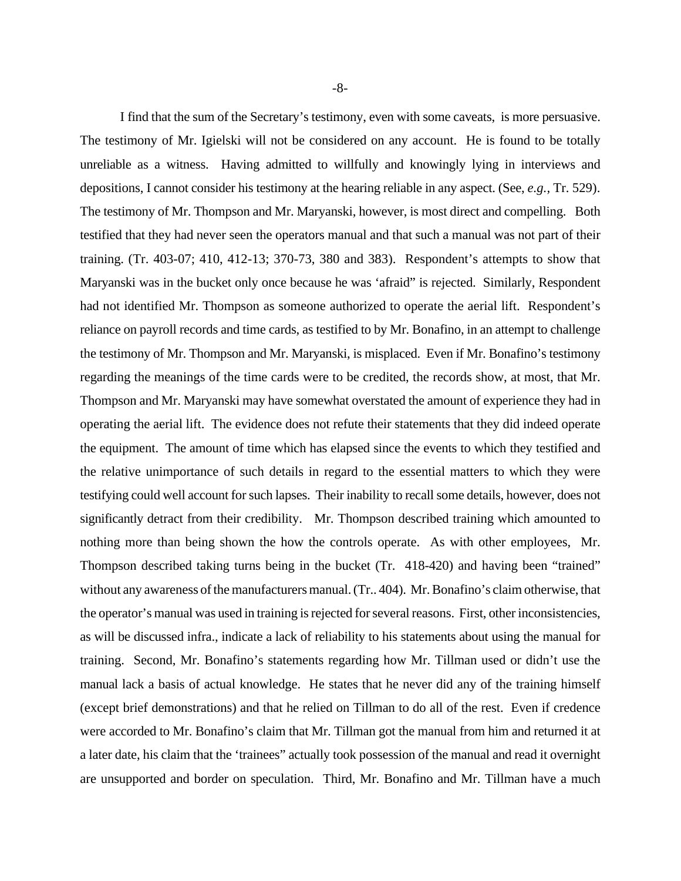I find that the sum of the Secretary's testimony, even with some caveats, is more persuasive. The testimony of Mr. Igielski will not be considered on any account. He is found to be totally unreliable as a witness. Having admitted to willfully and knowingly lying in interviews and depositions, I cannot consider his testimony at the hearing reliable in any aspect. (See, *e.g.,* Tr. 529). The testimony of Mr. Thompson and Mr. Maryanski, however, is most direct and compelling. Both testified that they had never seen the operators manual and that such a manual was not part of their training. (Tr. 403-07; 410, 412-13; 370-73, 380 and 383). Respondent's attempts to show that Maryanski was in the bucket only once because he was 'afraid" is rejected. Similarly, Respondent had not identified Mr. Thompson as someone authorized to operate the aerial lift. Respondent's reliance on payroll records and time cards, as testified to by Mr. Bonafino, in an attempt to challenge the testimony of Mr. Thompson and Mr. Maryanski, is misplaced. Even if Mr. Bonafino's testimony regarding the meanings of the time cards were to be credited, the records show, at most, that Mr. Thompson and Mr. Maryanski may have somewhat overstated the amount of experience they had in operating the aerial lift. The evidence does not refute their statements that they did indeed operate the equipment. The amount of time which has elapsed since the events to which they testified and the relative unimportance of such details in regard to the essential matters to which they were testifying could well account for such lapses. Their inability to recall some details, however, does not significantly detract from their credibility. Mr. Thompson described training which amounted to nothing more than being shown the how the controls operate. As with other employees, Mr. Thompson described taking turns being in the bucket (Tr. 418-420) and having been "trained" without any awareness of the manufacturers manual. (Tr.. 404). Mr. Bonafino's claim otherwise, that the operator's manual was used in training is rejected for several reasons. First, other inconsistencies, as will be discussed infra., indicate a lack of reliability to his statements about using the manual for training. Second, Mr. Bonafino's statements regarding how Mr. Tillman used or didn't use the manual lack a basis of actual knowledge. He states that he never did any of the training himself (except brief demonstrations) and that he relied on Tillman to do all of the rest. Even if credence were accorded to Mr. Bonafino's claim that Mr. Tillman got the manual from him and returned it at a later date, his claim that the 'trainees" actually took possession of the manual and read it overnight are unsupported and border on speculation. Third, Mr. Bonafino and Mr. Tillman have a much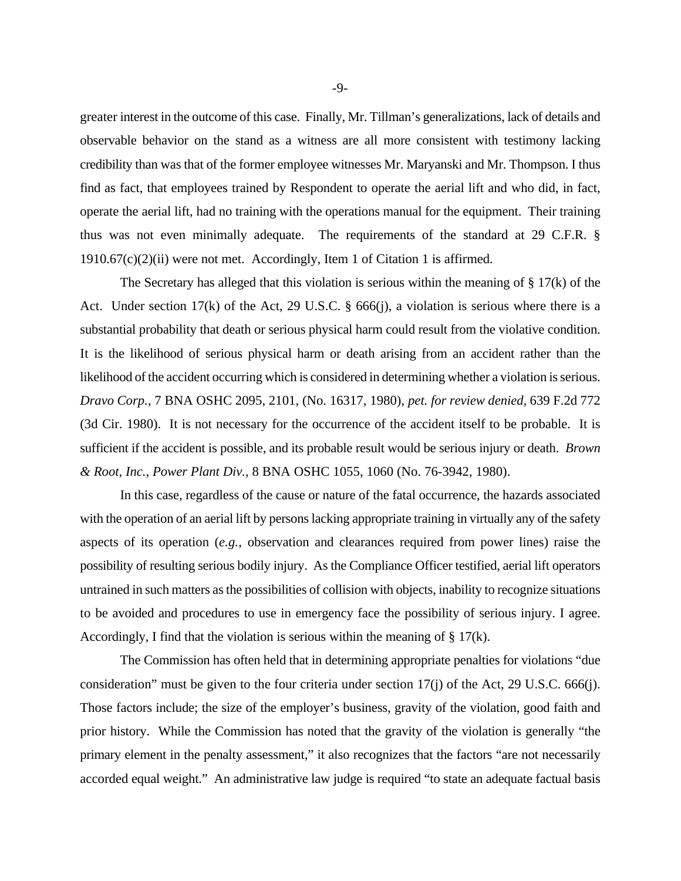greater interest in the outcome of this case. Finally, Mr. Tillman's generalizations, lack of details and observable behavior on the stand as a witness are all more consistent with testimony lacking credibility than was that of the former employee witnesses Mr. Maryanski and Mr. Thompson. I thus find as fact, that employees trained by Respondent to operate the aerial lift and who did, in fact, operate the aerial lift, had no training with the operations manual for the equipment. Their training thus was not even minimally adequate. The requirements of the standard at 29 C.F.R. §  $1910.67(c)(2)$ (ii) were not met. Accordingly, Item 1 of Citation 1 is affirmed.

The Secretary has alleged that this violation is serious within the meaning of  $\S 17(k)$  of the Act. Under section 17(k) of the Act, 29 U.S.C. § 666(j), a violation is serious where there is a substantial probability that death or serious physical harm could result from the violative condition. It is the likelihood of serious physical harm or death arising from an accident rather than the likelihood of the accident occurring which is considered in determining whether a violation is serious. *Dravo Corp.,* 7 BNA OSHC 2095, 2101, (No. 16317, 1980), *pet. for review denied,* 639 F.2d 772 (3d Cir. 1980). It is not necessary for the occurrence of the accident itself to be probable. It is sufficient if the accident is possible, and its probable result would be serious injury or death. *Brown & Root, Inc., Power Plant Div.,* 8 BNA OSHC 1055, 1060 (No. 76-3942, 1980).

In this case, regardless of the cause or nature of the fatal occurrence, the hazards associated with the operation of an aerial lift by persons lacking appropriate training in virtually any of the safety aspects of its operation (*e.g.*, observation and clearances required from power lines) raise the possibility of resulting serious bodily injury. As the Compliance Officer testified, aerial lift operators untrained in such matters as the possibilities of collision with objects, inability to recognize situations to be avoided and procedures to use in emergency face the possibility of serious injury. I agree. Accordingly, I find that the violation is serious within the meaning of § 17(k).

The Commission has often held that in determining appropriate penalties for violations "due consideration" must be given to the four criteria under section  $17(i)$  of the Act, 29 U.S.C. 666(j). Those factors include; the size of the employer's business, gravity of the violation, good faith and prior history. While the Commission has noted that the gravity of the violation is generally "the primary element in the penalty assessment," it also recognizes that the factors "are not necessarily accorded equal weight." An administrative law judge is required "to state an adequate factual basis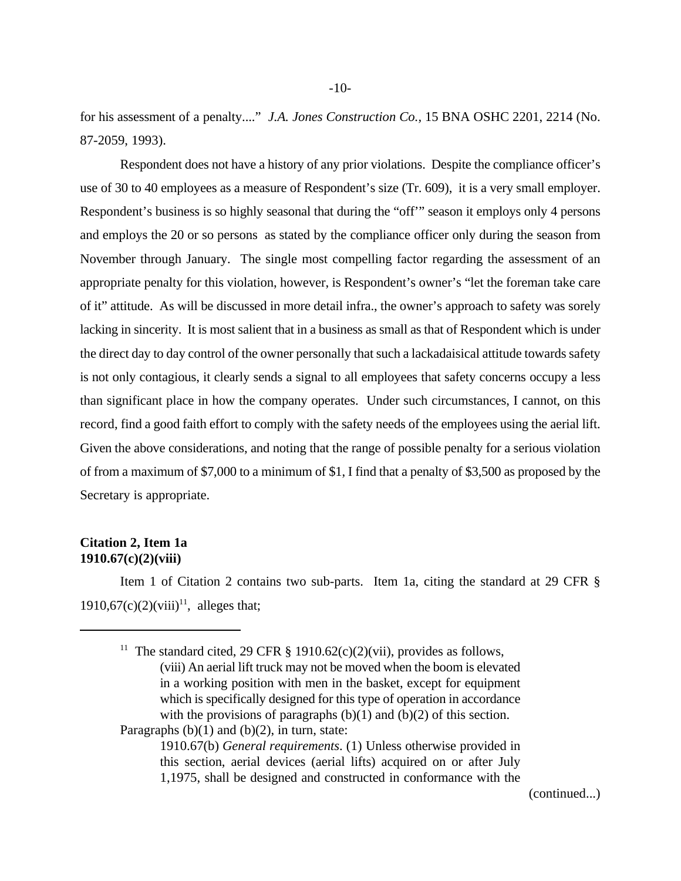for his assessment of a penalty...." *J.A. Jones Construction Co.,* 15 BNA OSHC 2201, 2214 (No. 87-2059, 1993).

Respondent does not have a history of any prior violations. Despite the compliance officer's use of 30 to 40 employees as a measure of Respondent's size (Tr. 609), it is a very small employer. Respondent's business is so highly seasonal that during the "off'" season it employs only 4 persons and employs the 20 or so persons as stated by the compliance officer only during the season from November through January. The single most compelling factor regarding the assessment of an appropriate penalty for this violation, however, is Respondent's owner's "let the foreman take care of it" attitude. As will be discussed in more detail infra., the owner's approach to safety was sorely lacking in sincerity. It is most salient that in a business as small as that of Respondent which is under the direct day to day control of the owner personally that such a lackadaisical attitude towards safety is not only contagious, it clearly sends a signal to all employees that safety concerns occupy a less than significant place in how the company operates. Under such circumstances, I cannot, on this record, find a good faith effort to comply with the safety needs of the employees using the aerial lift. Given the above considerations, and noting that the range of possible penalty for a serious violation of from a maximum of \$7,000 to a minimum of \$1, I find that a penalty of \$3,500 as proposed by the Secretary is appropriate.

#### **Citation 2, Item 1a 1910.67(c)(2)(viii)**

Item 1 of Citation 2 contains two sub-parts. Item 1a, citing the standard at 29 CFR § 1910,67(c)(2)(viii)<sup>11</sup>, alleges that;

<sup>11</sup> The standard cited, 29 CFR § 1910.62(c)(2)(vii), provides as follows, (viii) An aerial lift truck may not be moved when the boom is elevated in a working position with men in the basket, except for equipment which is specifically designed for this type of operation in accordance with the provisions of paragraphs  $(b)(1)$  and  $(b)(2)$  of this section. Paragraphs  $(b)(1)$  and  $(b)(2)$ , in turn, state:

(continued...)

<sup>1910.67(</sup>b) *General requirements*. (1) Unless otherwise provided in this section, aerial devices (aerial lifts) acquired on or after July 1,1975, shall be designed and constructed in conformance with the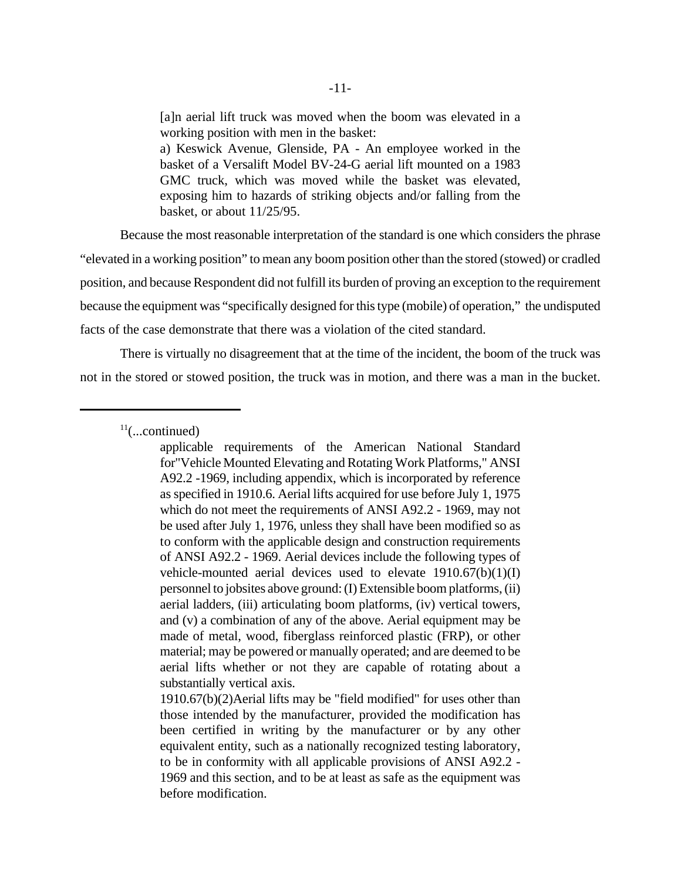[a]n aerial lift truck was moved when the boom was elevated in a working position with men in the basket: a) Keswick Avenue, Glenside, PA - An employee worked in the basket of a Versalift Model BV-24-G aerial lift mounted on a 1983 GMC truck, which was moved while the basket was elevated, exposing him to hazards of striking objects and/or falling from the basket, or about 11/25/95.

Because the most reasonable interpretation of the standard is one which considers the phrase "elevated in a working position" to mean any boom position other than the stored (stowed) or cradled position, and because Respondent did not fulfill its burden of proving an exception to the requirement because the equipment was "specifically designed for this type (mobile) of operation," the undisputed facts of the case demonstrate that there was a violation of the cited standard.

There is virtually no disagreement that at the time of the incident, the boom of the truck was not in the stored or stowed position, the truck was in motion, and there was a man in the bucket.

 $11$ (...continued)

applicable requirements of the American National Standard for"Vehicle Mounted Elevating and Rotating Work Platforms," ANSI A92.2 -1969, including appendix, which is incorporated by reference as specified in 1910.6. Aerial lifts acquired for use before July 1, 1975 which do not meet the requirements of ANSI A92.2 - 1969, may not be used after July 1, 1976, unless they shall have been modified so as to conform with the applicable design and construction requirements of ANSI A92.2 - 1969. Aerial devices include the following types of vehicle-mounted aerial devices used to elevate  $1910.67(b)(1)(I)$ personnel to jobsites above ground: (I) Extensible boom platforms, (ii) aerial ladders, (iii) articulating boom platforms, (iv) vertical towers, and (v) a combination of any of the above. Aerial equipment may be made of metal, wood, fiberglass reinforced plastic (FRP), or other material; may be powered or manually operated; and are deemed to be aerial lifts whether or not they are capable of rotating about a substantially vertical axis.

1910.67(b)(2)Aerial lifts may be "field modified" for uses other than those intended by the manufacturer, provided the modification has been certified in writing by the manufacturer or by any other equivalent entity, such as a nationally recognized testing laboratory, to be in conformity with all applicable provisions of ANSI A92.2 - 1969 and this section, and to be at least as safe as the equipment was before modification.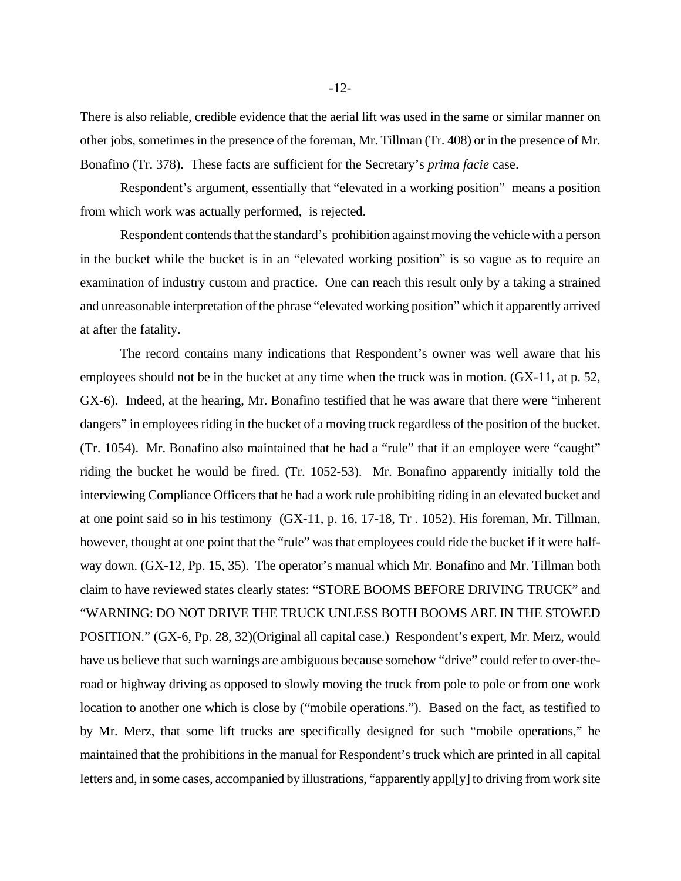There is also reliable, credible evidence that the aerial lift was used in the same or similar manner on other jobs, sometimes in the presence of the foreman, Mr. Tillman (Tr. 408) or in the presence of Mr. Bonafino (Tr. 378). These facts are sufficient for the Secretary's *prima facie* case.

Respondent's argument, essentially that "elevated in a working position" means a position from which work was actually performed, is rejected.

Respondent contends that the standard's prohibition against moving the vehicle with a person in the bucket while the bucket is in an "elevated working position" is so vague as to require an examination of industry custom and practice. One can reach this result only by a taking a strained and unreasonable interpretation of the phrase "elevated working position" which it apparently arrived at after the fatality.

The record contains many indications that Respondent's owner was well aware that his employees should not be in the bucket at any time when the truck was in motion. (GX-11, at p. 52, GX-6). Indeed, at the hearing, Mr. Bonafino testified that he was aware that there were "inherent dangers" in employees riding in the bucket of a moving truck regardless of the position of the bucket. (Tr. 1054). Mr. Bonafino also maintained that he had a "rule" that if an employee were "caught" riding the bucket he would be fired. (Tr. 1052-53). Mr. Bonafino apparently initially told the interviewing Compliance Officers that he had a work rule prohibiting riding in an elevated bucket and at one point said so in his testimony (GX-11, p. 16, 17-18, Tr . 1052). His foreman, Mr. Tillman, however, thought at one point that the "rule" was that employees could ride the bucket if it were halfway down. (GX-12, Pp. 15, 35). The operator's manual which Mr. Bonafino and Mr. Tillman both claim to have reviewed states clearly states: "STORE BOOMS BEFORE DRIVING TRUCK" and "WARNING: DO NOT DRIVE THE TRUCK UNLESS BOTH BOOMS ARE IN THE STOWED POSITION." (GX-6, Pp. 28, 32)(Original all capital case.) Respondent's expert, Mr. Merz, would have us believe that such warnings are ambiguous because somehow "drive" could refer to over-theroad or highway driving as opposed to slowly moving the truck from pole to pole or from one work location to another one which is close by ("mobile operations."). Based on the fact, as testified to by Mr. Merz, that some lift trucks are specifically designed for such "mobile operations," he maintained that the prohibitions in the manual for Respondent's truck which are printed in all capital letters and, in some cases, accompanied by illustrations, "apparently appl[y] to driving from work site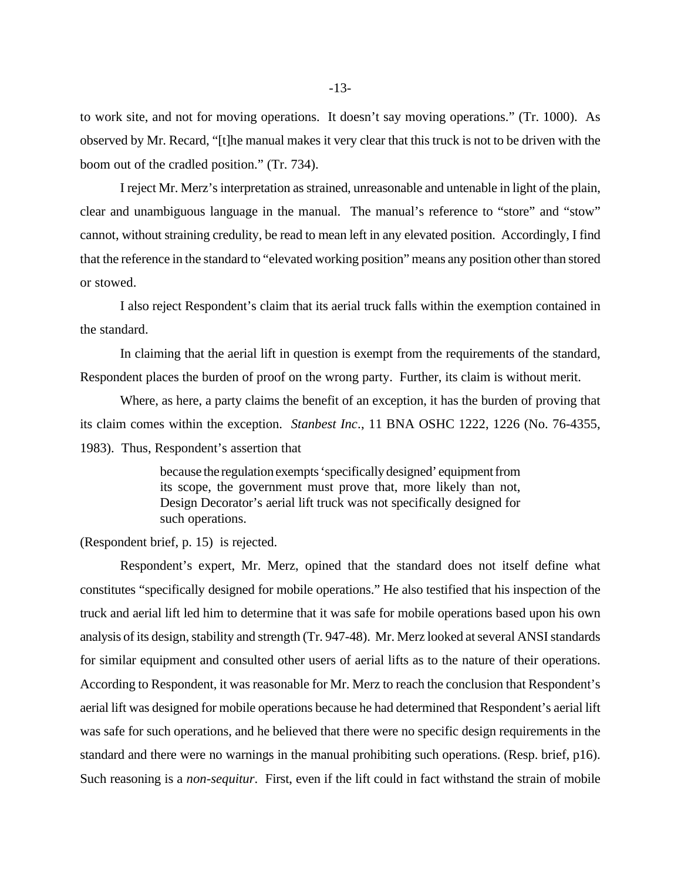to work site, and not for moving operations. It doesn't say moving operations." (Tr. 1000). As observed by Mr. Recard, "[t]he manual makes it very clear that this truck is not to be driven with the boom out of the cradled position." (Tr. 734).

I reject Mr. Merz's interpretation as strained, unreasonable and untenable in light of the plain, clear and unambiguous language in the manual. The manual's reference to "store" and "stow" cannot, without straining credulity, be read to mean left in any elevated position. Accordingly, I find that the reference in the standard to "elevated working position" means any position other than stored or stowed.

I also reject Respondent's claim that its aerial truck falls within the exemption contained in the standard.

In claiming that the aerial lift in question is exempt from the requirements of the standard, Respondent places the burden of proof on the wrong party. Further, its claim is without merit.

Where, as here, a party claims the benefit of an exception, it has the burden of proving that its claim comes within the exception. *Stanbest Inc*., 11 BNA OSHC 1222, 1226 (No. 76-4355, 1983). Thus, Respondent's assertion that

> because the regulation exempts 'specifically designed' equipment from its scope, the government must prove that, more likely than not, Design Decorator's aerial lift truck was not specifically designed for such operations.

(Respondent brief, p. 15) is rejected.

Respondent's expert, Mr. Merz, opined that the standard does not itself define what constitutes "specifically designed for mobile operations." He also testified that his inspection of the truck and aerial lift led him to determine that it was safe for mobile operations based upon his own analysis of its design, stability and strength (Tr. 947-48). Mr. Merz looked at several ANSI standards for similar equipment and consulted other users of aerial lifts as to the nature of their operations. According to Respondent, it was reasonable for Mr. Merz to reach the conclusion that Respondent's aerial lift was designed for mobile operations because he had determined that Respondent's aerial lift was safe for such operations, and he believed that there were no specific design requirements in the standard and there were no warnings in the manual prohibiting such operations. (Resp. brief, p16). Such reasoning is a *non-sequitur*. First, even if the lift could in fact withstand the strain of mobile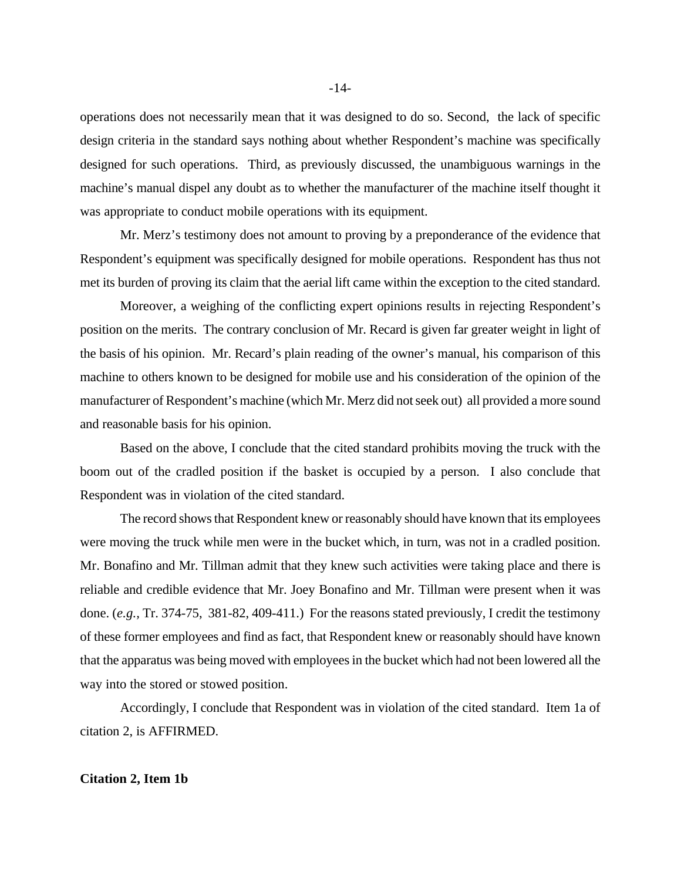operations does not necessarily mean that it was designed to do so. Second, the lack of specific design criteria in the standard says nothing about whether Respondent's machine was specifically designed for such operations. Third, as previously discussed, the unambiguous warnings in the machine's manual dispel any doubt as to whether the manufacturer of the machine itself thought it was appropriate to conduct mobile operations with its equipment.

Mr. Merz's testimony does not amount to proving by a preponderance of the evidence that Respondent's equipment was specifically designed for mobile operations. Respondent has thus not met its burden of proving its claim that the aerial lift came within the exception to the cited standard.

Moreover, a weighing of the conflicting expert opinions results in rejecting Respondent's position on the merits. The contrary conclusion of Mr. Recard is given far greater weight in light of the basis of his opinion. Mr. Recard's plain reading of the owner's manual, his comparison of this machine to others known to be designed for mobile use and his consideration of the opinion of the manufacturer of Respondent's machine (which Mr. Merz did not seek out) all provided a more sound and reasonable basis for his opinion.

Based on the above, I conclude that the cited standard prohibits moving the truck with the boom out of the cradled position if the basket is occupied by a person. I also conclude that Respondent was in violation of the cited standard.

The record shows that Respondent knew or reasonably should have known that its employees were moving the truck while men were in the bucket which, in turn, was not in a cradled position. Mr. Bonafino and Mr. Tillman admit that they knew such activities were taking place and there is reliable and credible evidence that Mr. Joey Bonafino and Mr. Tillman were present when it was done. (*e.g.,* Tr. 374-75, 381-82, 409-411.) For the reasons stated previously, I credit the testimony of these former employees and find as fact, that Respondent knew or reasonably should have known that the apparatus was being moved with employees in the bucket which had not been lowered all the way into the stored or stowed position.

Accordingly, I conclude that Respondent was in violation of the cited standard. Item 1a of citation 2, is AFFIRMED.

#### **Citation 2, Item 1b**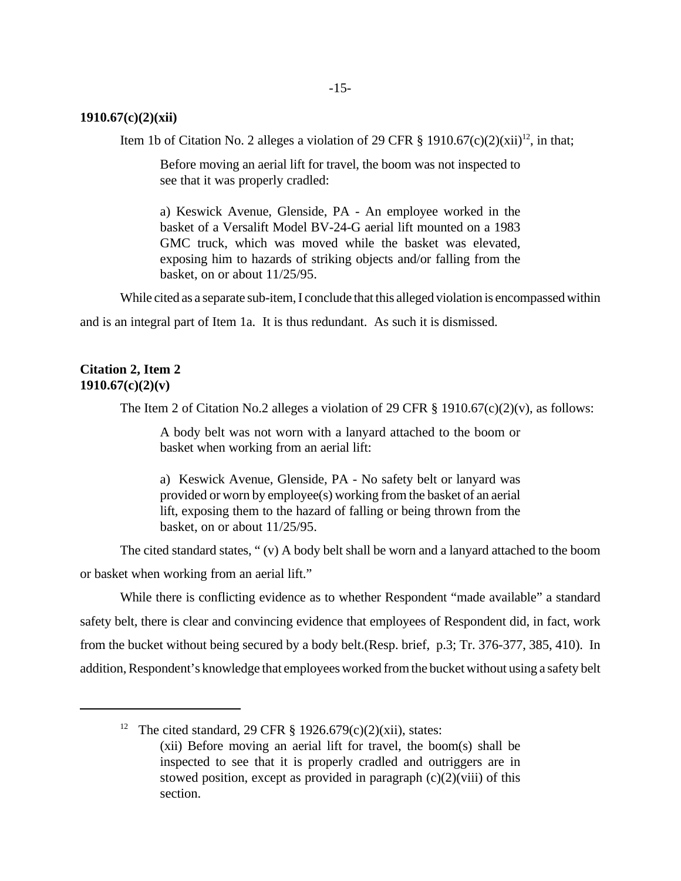#### **1910.67(c)(2)(xii)**

Item 1b of Citation No. 2 alleges a violation of 29 CFR § 1910.67(c)(2)(xii)<sup>12</sup>, in that;

Before moving an aerial lift for travel, the boom was not inspected to see that it was properly cradled:

a) Keswick Avenue, Glenside, PA - An employee worked in the basket of a Versalift Model BV-24-G aerial lift mounted on a 1983 GMC truck, which was moved while the basket was elevated, exposing him to hazards of striking objects and/or falling from the basket, on or about 11/25/95.

While cited as a separate sub-item, I conclude that this alleged violation is encompassed within

and is an integral part of Item 1a. It is thus redundant. As such it is dismissed.

### **Citation 2, Item 2 1910.67(c)(2)(v)**

The Item 2 of Citation No.2 alleges a violation of 29 CFR  $\S$  1910.67(c)(2)(v), as follows:

A body belt was not worn with a lanyard attached to the boom or basket when working from an aerial lift:

a) Keswick Avenue, Glenside, PA - No safety belt or lanyard was provided or worn by employee(s) working from the basket of an aerial lift, exposing them to the hazard of falling or being thrown from the basket, on or about 11/25/95.

The cited standard states, " (v) A body belt shall be worn and a lanyard attached to the boom or basket when working from an aerial lift."

While there is conflicting evidence as to whether Respondent "made available" a standard safety belt, there is clear and convincing evidence that employees of Respondent did, in fact, work from the bucket without being secured by a body belt.(Resp. brief, p.3; Tr. 376-377, 385, 410). In addition, Respondent's knowledge that employees worked from the bucket without using a safety belt

<sup>12</sup> The cited standard, 29 CFR  $\S$  1926.679(c)(2)(xii), states: (xii) Before moving an aerial lift for travel, the boom(s) shall be inspected to see that it is properly cradled and outriggers are in stowed position, except as provided in paragraph  $(c)(2)(viii)$  of this section.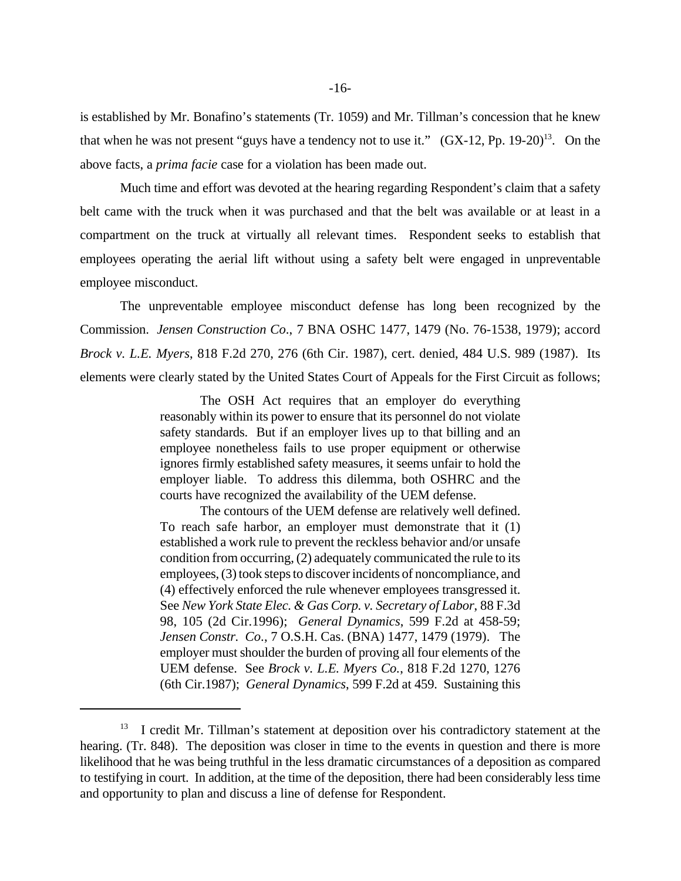is established by Mr. Bonafino's statements (Tr. 1059) and Mr. Tillman's concession that he knew that when he was not present "guys have a tendency not to use it."  $(GX-12, Pp. 19-20)^{13}$ . On the above facts, a *prima facie* case for a violation has been made out.

Much time and effort was devoted at the hearing regarding Respondent's claim that a safety belt came with the truck when it was purchased and that the belt was available or at least in a compartment on the truck at virtually all relevant times. Respondent seeks to establish that employees operating the aerial lift without using a safety belt were engaged in unpreventable employee misconduct.

The unpreventable employee misconduct defense has long been recognized by the Commission. *Jensen Construction Co*., 7 BNA OSHC 1477, 1479 (No. 76-1538, 1979); accord *Brock v. L.E. Myers*, 818 F.2d 270, 276 (6th Cir. 1987), cert. denied, 484 U.S. 989 (1987). Its elements were clearly stated by the United States Court of Appeals for the First Circuit as follows;

> The OSH Act requires that an employer do everything reasonably within its power to ensure that its personnel do not violate safety standards. But if an employer lives up to that billing and an employee nonetheless fails to use proper equipment or otherwise ignores firmly established safety measures, it seems unfair to hold the employer liable. To address this dilemma, both OSHRC and the courts have recognized the availability of the UEM defense.

> The contours of the UEM defense are relatively well defined. To reach safe harbor, an employer must demonstrate that it (1) established a work rule to prevent the reckless behavior and/or unsafe condition from occurring, (2) adequately communicated the rule to its employees, (3) took steps to discover incidents of noncompliance, and (4) effectively enforced the rule whenever employees transgressed it. See *New York State Elec. & Gas Corp. v. Secretary of Labor*, 88 F.3d 98, 105 (2d Cir.1996); *General Dynamics*, 599 F.2d at 458-59; *Jensen Constr. Co*., 7 O.S.H. Cas. (BNA) 1477, 1479 (1979). The employer must shoulder the burden of proving all four elements of the UEM defense. See *Brock v. L.E. Myers Co.*, 818 F.2d 1270, 1276 (6th Cir.1987); *General Dynamics*, 599 F.2d at 459. Sustaining this

 $13$  I credit Mr. Tillman's statement at deposition over his contradictory statement at the hearing. (Tr. 848). The deposition was closer in time to the events in question and there is more likelihood that he was being truthful in the less dramatic circumstances of a deposition as compared to testifying in court. In addition, at the time of the deposition, there had been considerably less time and opportunity to plan and discuss a line of defense for Respondent.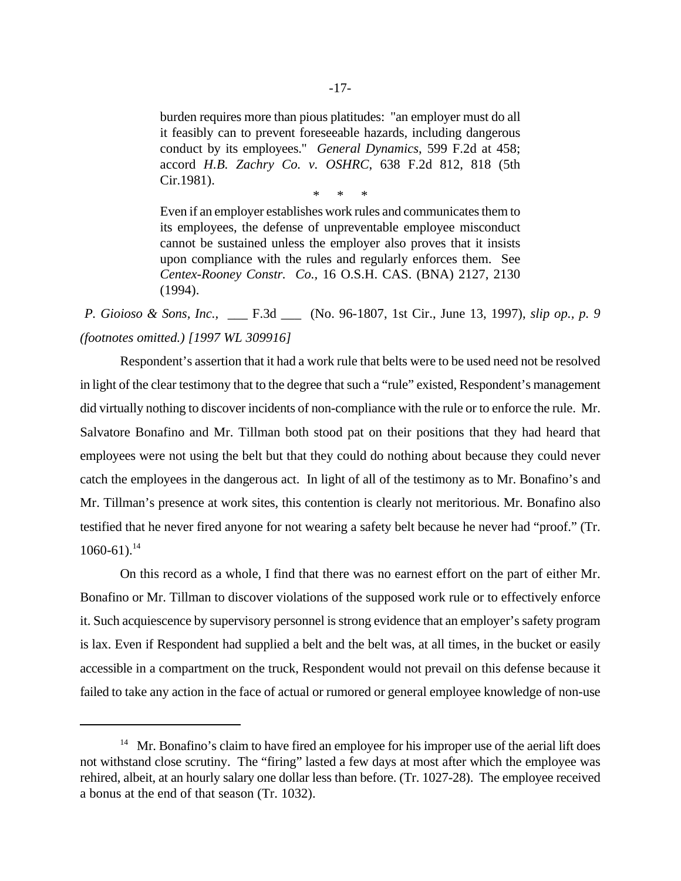burden requires more than pious platitudes: "an employer must do all it feasibly can to prevent foreseeable hazards, including dangerous conduct by its employees." *General Dynamics*, 599 F.2d at 458; accord *H.B. Zachry Co. v. OSHRC*, 638 F.2d 812, 818 (5th Cir.1981).

\* \* \*

Even if an employer establishes work rules and communicates them to its employees, the defense of unpreventable employee misconduct cannot be sustained unless the employer also proves that it insists upon compliance with the rules and regularly enforces them. See *Centex-Rooney Constr. Co.,* 16 O.S.H. CAS. (BNA) 2127, 2130 (1994).

*P. Gioioso & Sons, Inc.,* \_\_\_ F.3d \_\_\_ (No. 96-1807, 1st Cir., June 13, 1997), *slip op., p. 9 (footnotes omitted.) [1997 WL 309916]*

Respondent's assertion that it had a work rule that belts were to be used need not be resolved in light of the clear testimony that to the degree that such a "rule" existed, Respondent's management did virtually nothing to discover incidents of non-compliance with the rule or to enforce the rule. Mr. Salvatore Bonafino and Mr. Tillman both stood pat on their positions that they had heard that employees were not using the belt but that they could do nothing about because they could never catch the employees in the dangerous act. In light of all of the testimony as to Mr. Bonafino's and Mr. Tillman's presence at work sites, this contention is clearly not meritorious. Mr. Bonafino also testified that he never fired anyone for not wearing a safety belt because he never had "proof." (Tr.  $1060-61$ ).<sup>14</sup>

On this record as a whole, I find that there was no earnest effort on the part of either Mr. Bonafino or Mr. Tillman to discover violations of the supposed work rule or to effectively enforce it. Such acquiescence by supervisory personnel is strong evidence that an employer's safety program is lax. Even if Respondent had supplied a belt and the belt was, at all times, in the bucket or easily accessible in a compartment on the truck, Respondent would not prevail on this defense because it failed to take any action in the face of actual or rumored or general employee knowledge of non-use

 $14$  Mr. Bonafino's claim to have fired an employee for his improper use of the aerial lift does not withstand close scrutiny. The "firing" lasted a few days at most after which the employee was rehired, albeit, at an hourly salary one dollar less than before. (Tr. 1027-28). The employee received a bonus at the end of that season (Tr. 1032).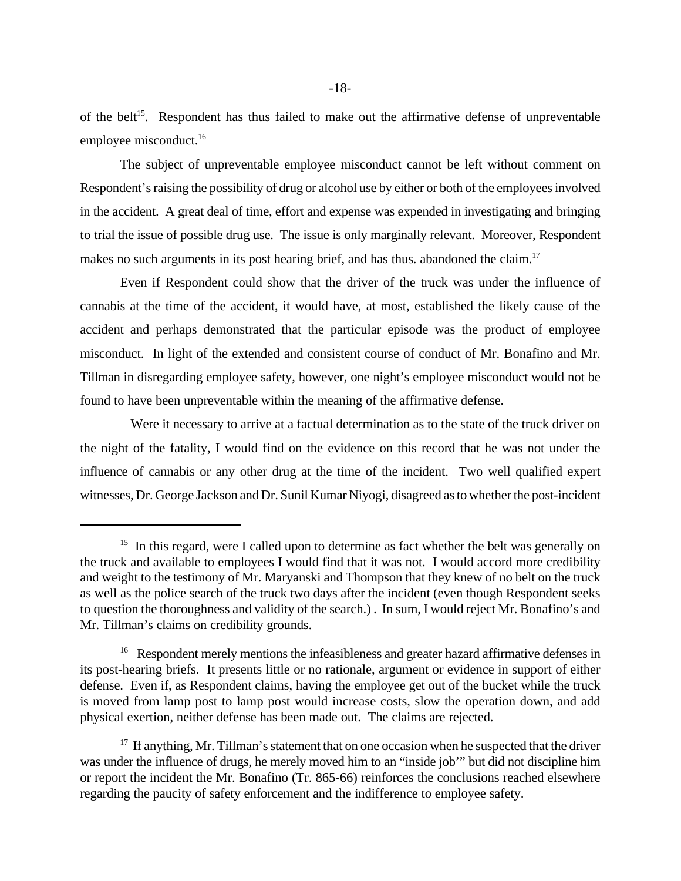of the belt<sup>15</sup>. Respondent has thus failed to make out the affirmative defense of unpreventable employee misconduct.<sup>16</sup>

The subject of unpreventable employee misconduct cannot be left without comment on Respondent's raising the possibility of drug or alcohol use by either or both of the employees involved in the accident. A great deal of time, effort and expense was expended in investigating and bringing to trial the issue of possible drug use. The issue is only marginally relevant. Moreover, Respondent makes no such arguments in its post hearing brief, and has thus. abandoned the claim.<sup>17</sup>

Even if Respondent could show that the driver of the truck was under the influence of cannabis at the time of the accident, it would have, at most, established the likely cause of the accident and perhaps demonstrated that the particular episode was the product of employee misconduct. In light of the extended and consistent course of conduct of Mr. Bonafino and Mr. Tillman in disregarding employee safety, however, one night's employee misconduct would not be found to have been unpreventable within the meaning of the affirmative defense.

 Were it necessary to arrive at a factual determination as to the state of the truck driver on the night of the fatality, I would find on the evidence on this record that he was not under the influence of cannabis or any other drug at the time of the incident. Two well qualified expert witnesses, Dr. George Jackson and Dr. Sunil Kumar Niyogi, disagreed as to whether the post-incident

<sup>&</sup>lt;sup>15</sup> In this regard, were I called upon to determine as fact whether the belt was generally on the truck and available to employees I would find that it was not. I would accord more credibility and weight to the testimony of Mr. Maryanski and Thompson that they knew of no belt on the truck as well as the police search of the truck two days after the incident (even though Respondent seeks to question the thoroughness and validity of the search.) . In sum, I would reject Mr. Bonafino's and Mr. Tillman's claims on credibility grounds.

<sup>&</sup>lt;sup>16</sup> Respondent merely mentions the infeasibleness and greater hazard affirmative defenses in its post-hearing briefs. It presents little or no rationale, argument or evidence in support of either defense. Even if, as Respondent claims, having the employee get out of the bucket while the truck is moved from lamp post to lamp post would increase costs, slow the operation down, and add physical exertion, neither defense has been made out. The claims are rejected.

 $17$  If anything, Mr. Tillman's statement that on one occasion when he suspected that the driver was under the influence of drugs, he merely moved him to an "inside job'" but did not discipline him or report the incident the Mr. Bonafino (Tr. 865-66) reinforces the conclusions reached elsewhere regarding the paucity of safety enforcement and the indifference to employee safety.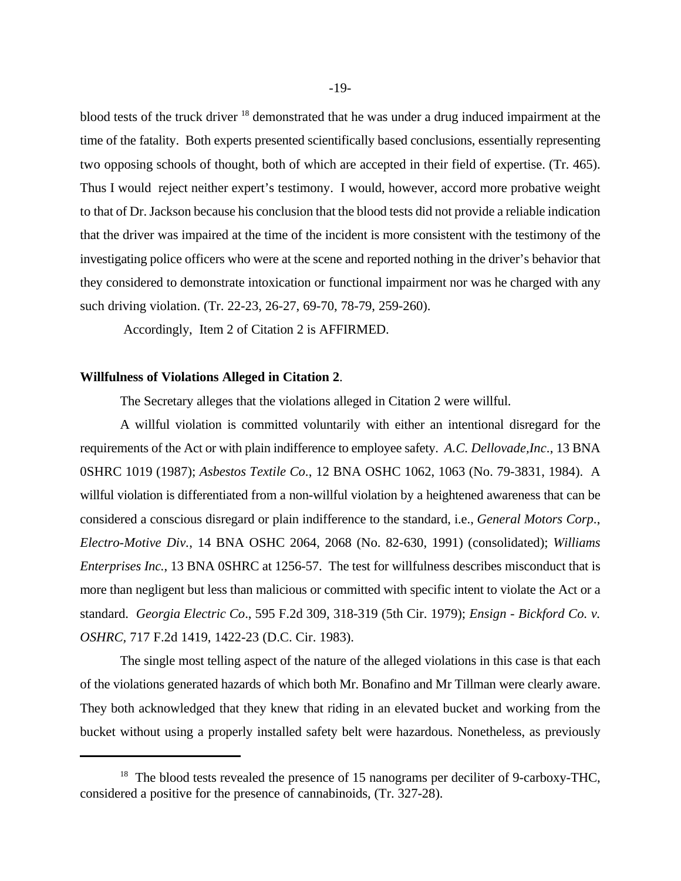blood tests of the truck driver <sup>18</sup> demonstrated that he was under a drug induced impairment at the time of the fatality. Both experts presented scientifically based conclusions, essentially representing two opposing schools of thought, both of which are accepted in their field of expertise. (Tr. 465). Thus I would reject neither expert's testimony. I would, however, accord more probative weight to that of Dr. Jackson because his conclusion that the blood tests did not provide a reliable indication that the driver was impaired at the time of the incident is more consistent with the testimony of the investigating police officers who were at the scene and reported nothing in the driver's behavior that they considered to demonstrate intoxication or functional impairment nor was he charged with any such driving violation. (Tr. 22-23, 26-27, 69-70, 78-79, 259-260).

Accordingly, Item 2 of Citation 2 is AFFIRMED.

#### **Willfulness of Violations Alleged in Citation 2**.

The Secretary alleges that the violations alleged in Citation 2 were willful.

A willful violation is committed voluntarily with either an intentional disregard for the requirements of the Act or with plain indifference to employee safety. *A.C. Dellovade,Inc*., 13 BNA 0SHRC 1019 (1987); *Asbestos Textile Co*., 12 BNA OSHC 1062, 1063 (No. 79-3831, 1984). A willful violation is differentiated from a non-willful violation by a heightened awareness that can be considered a conscious disregard or plain indifference to the standard, i.e., *General Motors Corp*., *Electro-Motive Div.*, 14 BNA OSHC 2064, 2068 (No. 82-630, 1991) (consolidated); *Williams Enterprises Inc.*, 13 BNA 0SHRC at 1256-57. The test for willfulness describes misconduct that is more than negligent but less than malicious or committed with specific intent to violate the Act or a standard. *Georgia Electric Co*., 595 F.2d 309, 318-319 (5th Cir. 1979); *Ensign - Bickford Co. v. OSHRC,* 717 F.2d 1419, 1422-23 (D.C. Cir. 1983).

The single most telling aspect of the nature of the alleged violations in this case is that each of the violations generated hazards of which both Mr. Bonafino and Mr Tillman were clearly aware. They both acknowledged that they knew that riding in an elevated bucket and working from the bucket without using a properly installed safety belt were hazardous. Nonetheless, as previously

 $18$  The blood tests revealed the presence of 15 nanograms per deciliter of 9-carboxy-THC, considered a positive for the presence of cannabinoids, (Tr. 327-28).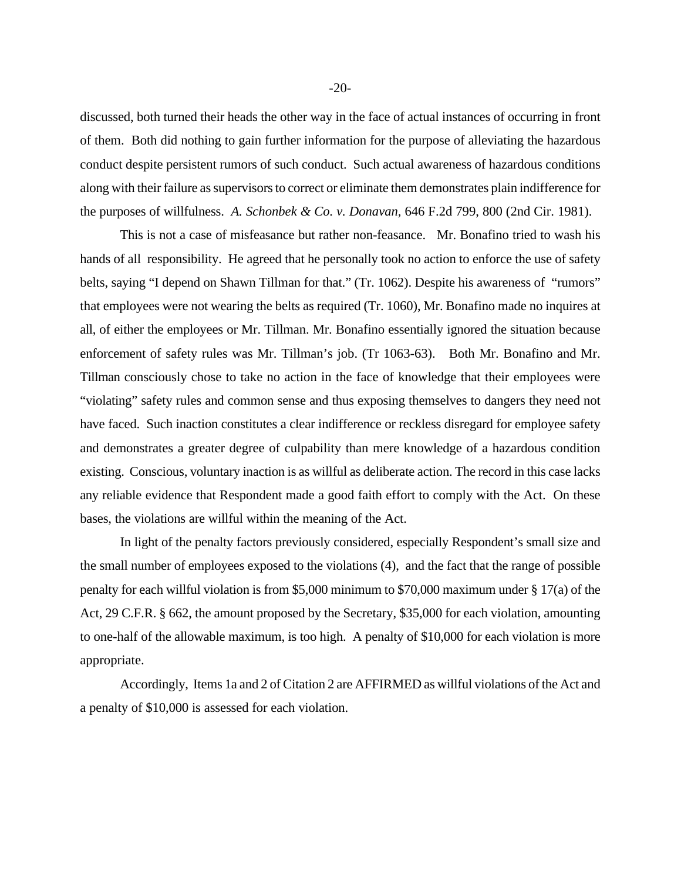discussed, both turned their heads the other way in the face of actual instances of occurring in front of them. Both did nothing to gain further information for the purpose of alleviating the hazardous conduct despite persistent rumors of such conduct. Such actual awareness of hazardous conditions along with their failure as supervisors to correct or eliminate them demonstrates plain indifference for the purposes of willfulness. *A. Schonbek & Co. v. Donavan,* 646 F.2d 799, 800 (2nd Cir. 1981).

This is not a case of misfeasance but rather non-feasance. Mr. Bonafino tried to wash his hands of all responsibility. He agreed that he personally took no action to enforce the use of safety belts, saying "I depend on Shawn Tillman for that." (Tr. 1062). Despite his awareness of "rumors" that employees were not wearing the belts as required (Tr. 1060), Mr. Bonafino made no inquires at all, of either the employees or Mr. Tillman. Mr. Bonafino essentially ignored the situation because enforcement of safety rules was Mr. Tillman's job. (Tr 1063-63). Both Mr. Bonafino and Mr. Tillman consciously chose to take no action in the face of knowledge that their employees were "violating" safety rules and common sense and thus exposing themselves to dangers they need not have faced. Such inaction constitutes a clear indifference or reckless disregard for employee safety and demonstrates a greater degree of culpability than mere knowledge of a hazardous condition existing. Conscious, voluntary inaction is as willful as deliberate action. The record in this case lacks any reliable evidence that Respondent made a good faith effort to comply with the Act. On these bases, the violations are willful within the meaning of the Act.

In light of the penalty factors previously considered, especially Respondent's small size and the small number of employees exposed to the violations (4), and the fact that the range of possible penalty for each willful violation is from \$5,000 minimum to \$70,000 maximum under § 17(a) of the Act, 29 C.F.R. § 662, the amount proposed by the Secretary, \$35,000 for each violation, amounting to one-half of the allowable maximum, is too high. A penalty of \$10,000 for each violation is more appropriate.

Accordingly, Items 1a and 2 of Citation 2 are AFFIRMED as willful violations of the Act and a penalty of \$10,000 is assessed for each violation.

-20-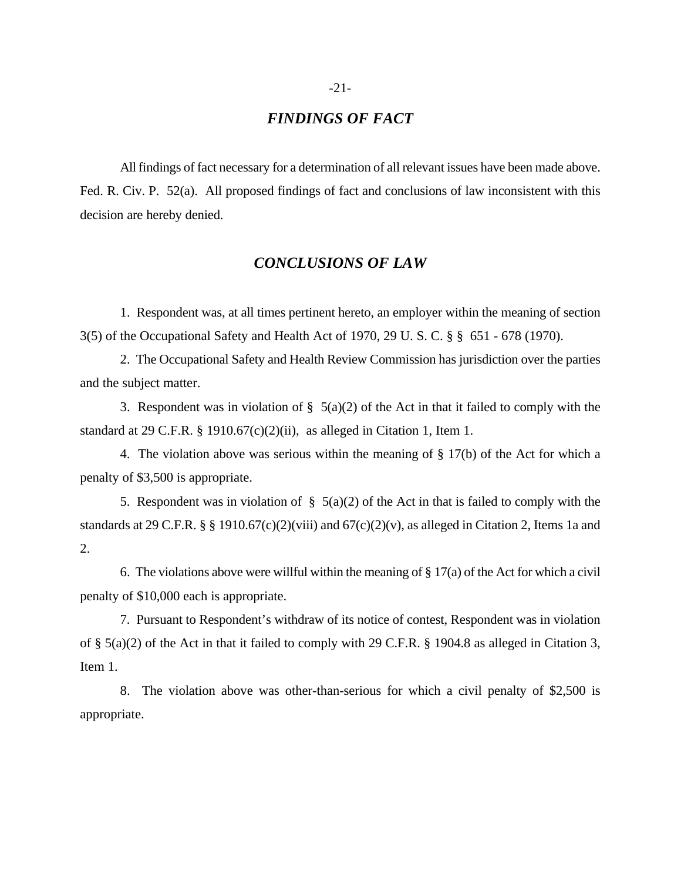## *FINDINGS OF FACT*

All findings of fact necessary for a determination of all relevant issues have been made above. Fed. R. Civ. P. 52(a). All proposed findings of fact and conclusions of law inconsistent with this decision are hereby denied.

## *CONCLUSIONS OF LAW*

1. Respondent was, at all times pertinent hereto, an employer within the meaning of section 3(5) of the Occupational Safety and Health Act of 1970, 29 U. S. C. § § 651 - 678 (1970).

2. The Occupational Safety and Health Review Commission has jurisdiction over the parties and the subject matter.

3. Respondent was in violation of  $\S$  5(a)(2) of the Act in that it failed to comply with the standard at 29 C.F.R.  $\S$  1910.67(c)(2)(ii), as alleged in Citation 1, Item 1.

4. The violation above was serious within the meaning of  $\S 17(b)$  of the Act for which a penalty of \$3,500 is appropriate.

5. Respondent was in violation of  $\S$  5(a)(2) of the Act in that is failed to comply with the standards at 29 C.F.R. § § 1910.67(c)(2)(viii) and  $67(c)(2)(v)$ , as alleged in Citation 2, Items 1a and 2.

6. The violations above were willful within the meaning of  $\S 17(a)$  of the Act for which a civil penalty of \$10,000 each is appropriate.

7. Pursuant to Respondent's withdraw of its notice of contest, Respondent was in violation of § 5(a)(2) of the Act in that it failed to comply with 29 C.F.R. § 1904.8 as alleged in Citation 3, Item 1.

8. The violation above was other-than-serious for which a civil penalty of \$2,500 is appropriate.